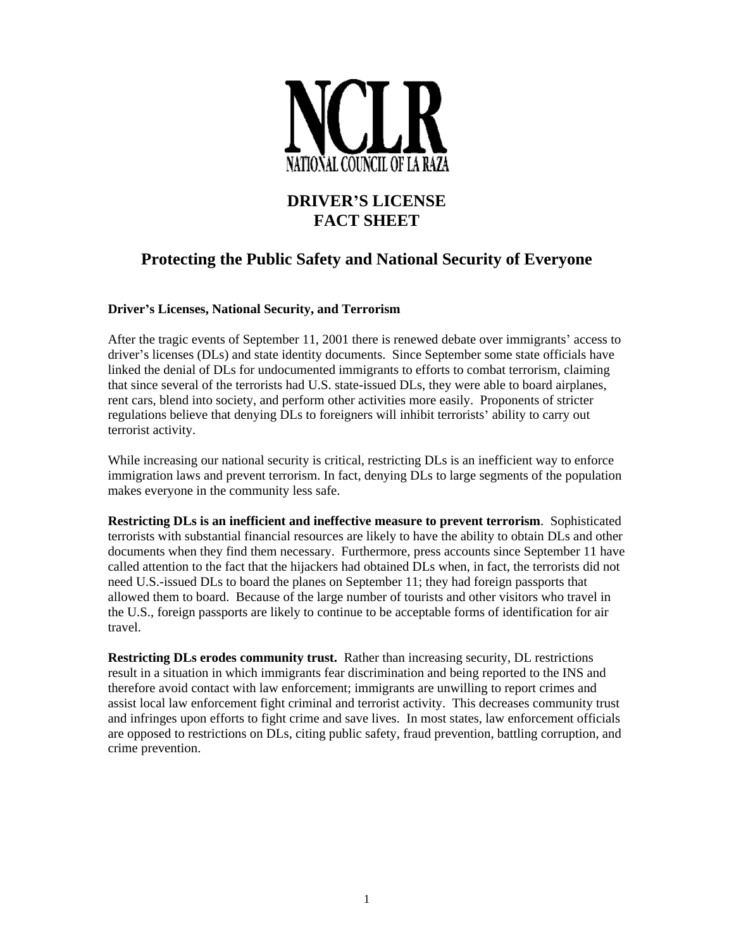

## **DRIVER S LICENSE FACT SHEET**

## **Protecting the Public Safety and National Security of Everyone**

## **Driver s Licenses, National Security, and Terrorism**

After the tragic events of September 11, 2001 there is renewed debate over immigrants' access to driver's licenses (DLs) and state identity documents. Since September some state officials have linked the denial of DLs for undocumented immigrants to efforts to combat terrorism, claiming that since several of the terrorists had U.S. state-issued DLs, they were able to board airplanes, rent cars, blend into society, and perform other activities more easily. Proponents of stricter regulations believe that denying DLs to foreigners will inhibit terrorists' ability to carry out terrorist activity.

While increasing our national security is critical, restricting DLs is an inefficient way to enforce immigration laws and prevent terrorism. In fact, denying DLs to large segments of the population makes everyone in the community less safe.

**Restricting DLs is an inefficient and ineffective measure to prevent terrorism**. Sophisticated terrorists with substantial financial resources are likely to have the ability to obtain DLs and other documents when they find them necessary. Furthermore, press accounts since September 11 have called attention to the fact that the hijackers had obtained DLs when, in fact, the terrorists did not need U.S.-issued DLs to board the planes on September 11; they had foreign passports that allowed them to board. Because of the large number of tourists and other visitors who travel in the U.S., foreign passports are likely to continue to be acceptable forms of identification for air travel.

**Restricting DLs erodes community trust.** Rather than increasing security, DL restrictions result in a situation in which immigrants fear discrimination and being reported to the INS and therefore avoid contact with law enforcement; immigrants are unwilling to report crimes and assist local law enforcement fight criminal and terrorist activity. This decreases community trust and infringes upon efforts to fight crime and save lives. In most states, law enforcement officials are opposed to restrictions on DLs, citing public safety, fraud prevention, battling corruption, and crime prevention.